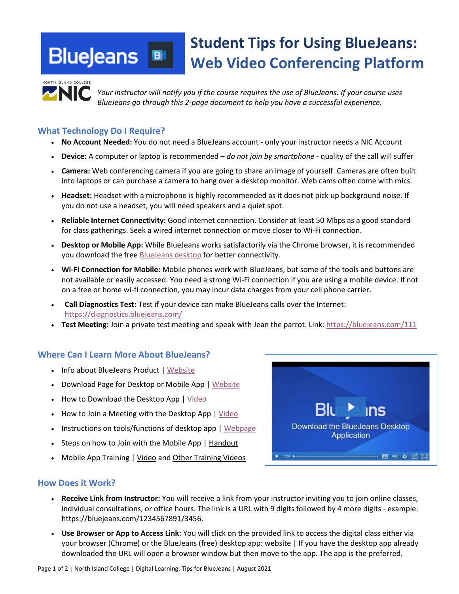#### **Student Tips for Using BlueJeans: BlueJeans**  $B($ **Web Video Conferencing Platform**



*Your instructor will notify you if the course requires the use of BlueJeans. If your course uses BlueJeans go through this 2-page document to help you have a successful experience.*

### **What Technology Do I Require?**

- **No Account Needed:** You do not need a BlueJeans account only your instructor needs a NIC Account
- **Device:** A computer or laptop is recommended *do not join by smartphone* quality of the call will suffer
- **Camera:** Web conferencing camera if you are going to share an image of yourself. Cameras are often built into laptops or can purchase a camera to hang over a desktop monitor. Web cams often come with mics.
- **Headset:** Headset with a microphone is highly recommended as it does not pick up background noise. If you do not use a headset, you will need speakers and a quiet spot.
- **Reliable Internet Connectivity:** Good internet connection. Consider at least 50 Mbps as a good standard for class gatherings. Seek a wired internet connection or move closer to Wi-Fi connection.
- **Desktop or Mobile App:** While BlueJeans works satisfactorily via the Chrome browser, it is recommended you download the free BlueJeans desktop for better connectivity.
- **Wi-Fi Connection for Mobile:** Mobile phones work with BlueJeans, but some of the tools and buttons are not available or easily accessed. You need a strong Wi-Fi connection if you are using a mobile device. If not on a free or home wi-fi connection, you may incur data charges from your cell phone carrier.
- **Call Diagnostics Test:** Test if your device can make BlueJeans calls over the Internet: https://diagnostics.bluejeans.com/
- **Test Meeting:** Join a private test meeting and speak with Jean the parrot. Link: https://bluejeans.com/111

# **Where Can I Learn More About BlueJeans?**

- Info about BlueJeans Product | Website
- Download Page for Desktop or Mobile App | Website
- How to Download the Desktop App | Video
- How to Join a Meeting with the Desktop App | Video
- Instructions on tools/functions of desktop app | Webpage
- Steps on how to Join with the Mobile App | Handout
- Mobile App Training | Video and Other Training Videos



### **How Does it Work?**

- **Receive Link from Instructor:** You will receive a link from your instructor inviting you to join online classes, individual consultations, or office hours. The link is a URL with 9 digits followed by 4 more digits - example: https://bluejeans.com/1234567891/3456.
- **Use Browser or App to Access Link:** You will click on the provided link to access the digital class either via your browser (Chrome) or the BlueJeans (free) desktop app: website | If you have the desktop app already downloaded the URL will open a browser window but then move to the app. The app is the preferred.